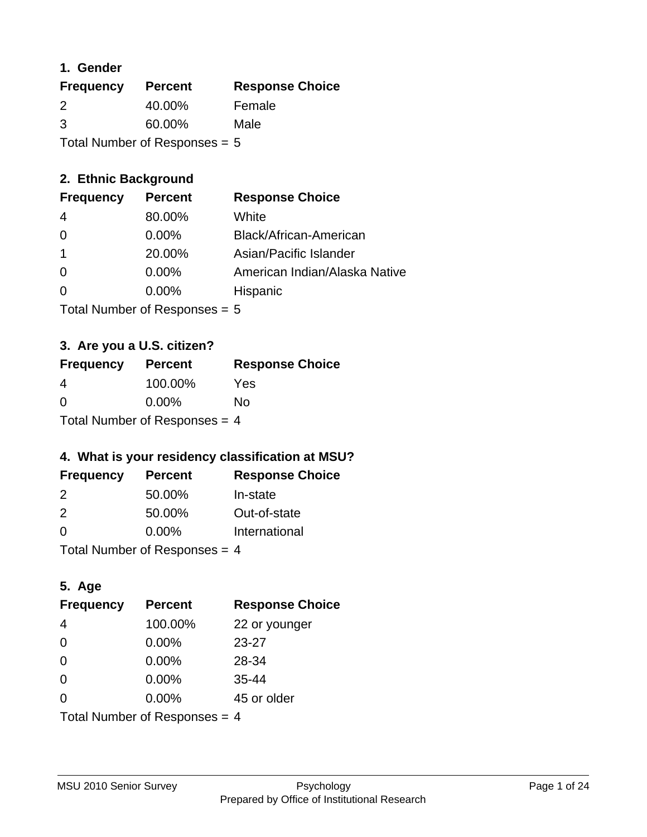### **1. Gender**

| <b>Frequency</b> | <b>Percent</b>                  | <b>Response Choice</b> |
|------------------|---------------------------------|------------------------|
| 2                | 40.00%                          | Female                 |
| 3                | 60.00%                          | Male                   |
|                  | Total Number of Responses $= 5$ |                        |

## **2. Ethnic Background**

| <b>Frequency</b> | <b>Percent</b> | <b>Response Choice</b>        |
|------------------|----------------|-------------------------------|
| 4                | 80.00%         | White                         |
| $\Omega$         | $0.00\%$       | Black/African-American        |
|                  | 20.00%         | Asian/Pacific Islander        |
| $\Omega$         | $0.00\%$       | American Indian/Alaska Native |
|                  | 0.00%          | Hispanic                      |
|                  |                |                               |

Total Number of Responses = 5

## **3. Are you a U.S. citizen?**

| <b>Frequency</b>                | <b>Percent</b> | <b>Response Choice</b> |
|---------------------------------|----------------|------------------------|
| 4                               | 100.00%        | Yes                    |
| $\Omega$                        | $0.00\%$       | Nο                     |
| Total Number of Responses = $4$ |                |                        |

## **4. What is your residency classification at MSU?**

| <b>Frequency</b> | <b>Percent</b> | <b>Response Choice</b> |
|------------------|----------------|------------------------|
| $\mathcal{P}$    | 50.00%         | In-state               |
| $\mathcal{P}$    | 50.00%         | Out-of-state           |
| $\Omega$         | $0.00\%$       | International          |
|                  |                |                        |

Total Number of Responses = 4

## **5. Age**

| <b>Frequency</b>                | <b>Percent</b> | <b>Response Choice</b> |
|---------------------------------|----------------|------------------------|
| 4                               | 100.00%        | 22 or younger          |
| $\Omega$                        | 0.00%          | $23 - 27$              |
| $\overline{0}$                  | 0.00%          | 28-34                  |
| $\Omega$                        | 0.00%          | $35 - 44$              |
| 0                               | $0.00\%$       | 45 or older            |
| Total Number of Responses $=$ 4 |                |                        |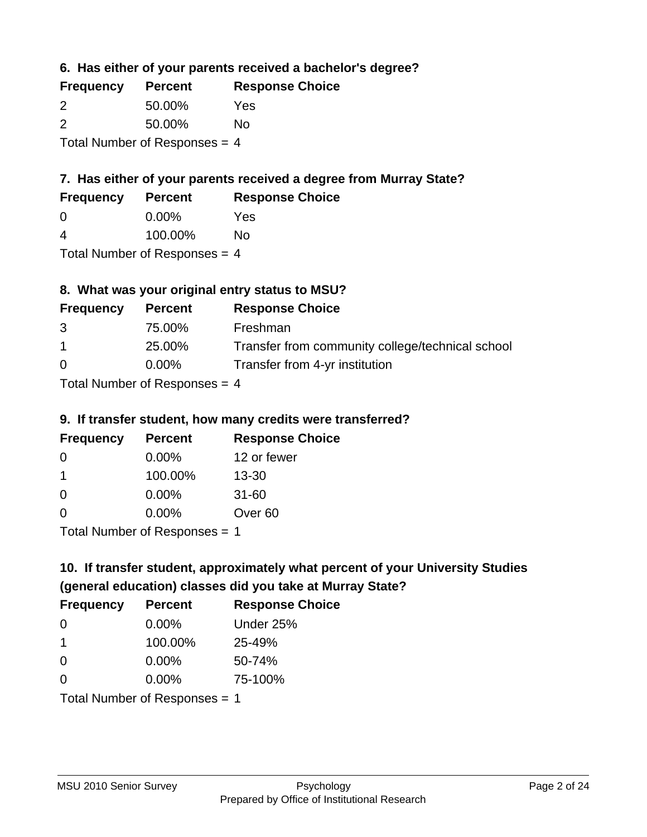**6. Has either of your parents received a bachelor's degree?**

| <b>Frequency</b>                | <b>Percent</b> | <b>Response Choice</b> |
|---------------------------------|----------------|------------------------|
| $\mathcal{P}$                   | 50.00%         | Yes                    |
| $\mathcal{P}$                   | 50.00%         | No                     |
| Total Number of Responses = $4$ |                |                        |

## **7. Has either of your parents received a degree from Murray State?**

| <b>Frequency</b> | <b>Percent</b> | <b>Response Choice</b> |
|------------------|----------------|------------------------|
| <u>ึ</u> ဂ       | $0.00\%$       | Yes                    |

| 4 | 100.00% | <b>No</b> |
|---|---------|-----------|

Total Number of Responses = 4

## **8. What was your original entry status to MSU?**

| <b>Frequency</b> | <b>Percent</b>                                       | <b>Response Choice</b>                           |
|------------------|------------------------------------------------------|--------------------------------------------------|
| 3                | 75.00%                                               | Freshman                                         |
| $\overline{1}$   | 25.00%                                               | Transfer from community college/technical school |
| $\Omega$         | $0.00\%$                                             | Transfer from 4-yr institution                   |
|                  | $\tau$ . In the set of $\Gamma$ is a set of $\Gamma$ |                                                  |

Total Number of Responses  $= 4$ 

### **9. If transfer student, how many credits were transferred?**

| <b>Frequency</b>            | <b>Percent</b> | <b>Response Choice</b> |
|-----------------------------|----------------|------------------------|
| 0                           | $0.00\%$       | 12 or fewer            |
| 1                           | 100.00%        | $13 - 30$              |
| 0                           | $0.00\%$       | $31 - 60$              |
| $\Omega$                    | 0.00%          | Over <sub>60</sub>     |
| Total Number of Despanses 1 |                |                        |

Total Number of Responses = 1

# **10. If transfer student, approximately what percent of your University Studies (general education) classes did you take at Murray State?**

| <b>Frequency</b>              | <b>Percent</b> | <b>Response Choice</b> |
|-------------------------------|----------------|------------------------|
| -0                            | $0.00\%$       | Under 25%              |
| -1                            | 100.00%        | 25-49%                 |
| $\Omega$                      | $0.00\%$       | 50-74%                 |
| $\Omega$                      | $0.00\%$       | 75-100%                |
| Total Number of Responses = 1 |                |                        |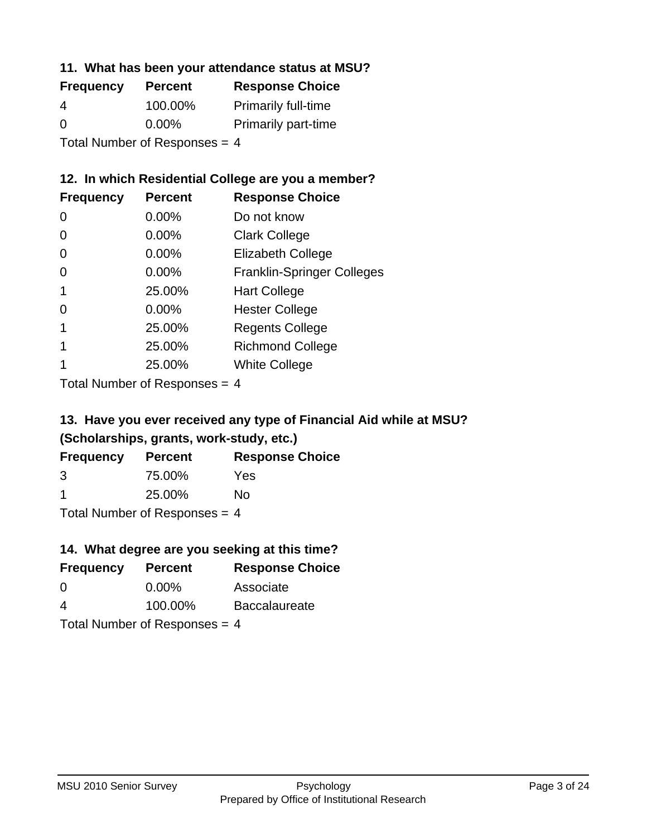### **11. What has been your attendance status at MSU?**

| <b>Frequency</b>                | <b>Percent</b> | <b>Response Choice</b>     |
|---------------------------------|----------------|----------------------------|
| 4                               | 100.00%        | <b>Primarily full-time</b> |
| $\Omega$                        | $0.00\%$       | <b>Primarily part-time</b> |
| Total Number of Responses = $4$ |                |                            |

**12. In which Residential College are you a member?**

| <b>Frequency</b> | <b>Percent</b> | <b>Response Choice</b>            |
|------------------|----------------|-----------------------------------|
| $\Omega$         | $0.00\%$       | Do not know                       |
| 0                | 0.00%          | <b>Clark College</b>              |
| 0                | 0.00%          | <b>Elizabeth College</b>          |
| 0                | 0.00%          | <b>Franklin-Springer Colleges</b> |
| 1                | 25.00%         | <b>Hart College</b>               |
| 0                | 0.00%          | <b>Hester College</b>             |
| 1                | 25.00%         | <b>Regents College</b>            |
|                  | 25.00%         | <b>Richmond College</b>           |
|                  | 25.00%         | <b>White College</b>              |
|                  |                |                                   |

Total Number of Responses = 4

## **13. Have you ever received any type of Financial Aid while at MSU? (Scholarships, grants, work-study, etc.)**

| <b>Frequency</b>                | <b>Percent</b> | <b>Response Choice</b> |  |
|---------------------------------|----------------|------------------------|--|
| 3                               | 75.00%         | Yes                    |  |
| $\blacktriangleleft$            | 25.00%         | Nο                     |  |
| Total Number of Responses = $4$ |                |                        |  |

# **14. What degree are you seeking at this time?**

| <b>Frequency</b> | <b>Percent</b>                  | <b>Response Choice</b> |
|------------------|---------------------------------|------------------------|
| 0                | $0.00\%$                        | Associate              |
| 4                | 100.00%                         | <b>Baccalaureate</b>   |
|                  | Total Number of Responses $=$ 4 |                        |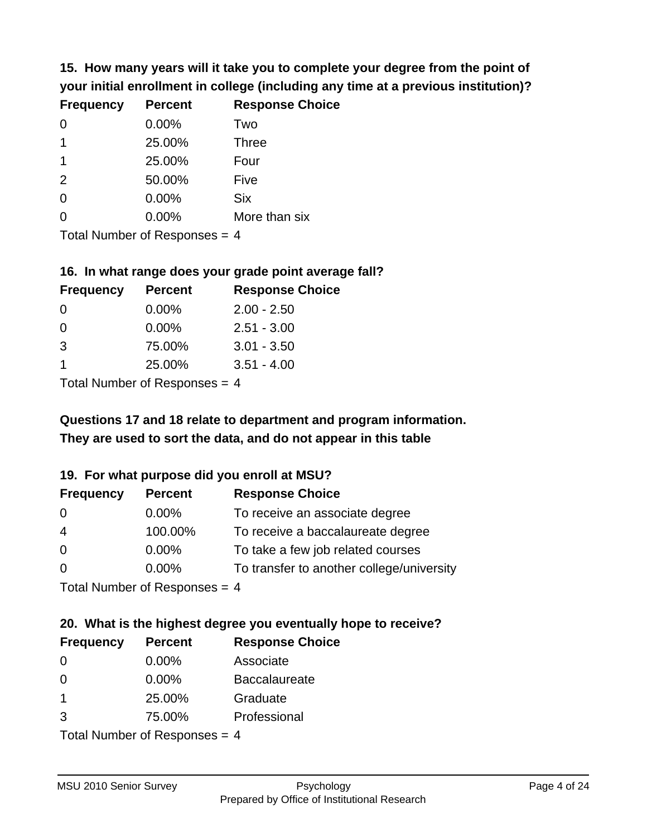**15. How many years will it take you to complete your degree from the point of your initial enrollment in college (including any time at a previous institution)?**

| <b>Frequency</b> | <b>Percent</b> | <b>Response Choice</b> |
|------------------|----------------|------------------------|
| $\Omega$         | 0.00%          | Two                    |
| 1                | 25.00%         | <b>Three</b>           |
| 1                | 25.00%         | Four                   |
| 2                | 50.00%         | Five                   |
| $\Omega$         | 0.00%          | <b>Six</b>             |
| $\overline{0}$   | 0.00%          | More than six          |
|                  |                |                        |

Total Number of Responses  $= 4$ 

#### **16. In what range does your grade point average fall?**

| <b>Frequency</b> | <b>Percent</b> | <b>Response Choice</b> |
|------------------|----------------|------------------------|
| 0                | $0.00\%$       | $2.00 - 2.50$          |
| $\Omega$         | 0.00%          | $2.51 - 3.00$          |
| -3               | 75.00%         | $3.01 - 3.50$          |
|                  | 25.00%         | $3.51 - 4.00$          |
|                  |                |                        |

Total Number of Responses = 4

## **They are used to sort the data, and do not appear in this table Questions 17 and 18 relate to department and program information.**

### **19. For what purpose did you enroll at MSU?**

| <b>Frequency</b>            | <b>Percent</b> | <b>Response Choice</b>                    |
|-----------------------------|----------------|-------------------------------------------|
| 0                           | $0.00\%$       | To receive an associate degree            |
| $\overline{4}$              | 100.00%        | To receive a baccalaureate degree         |
| $\overline{0}$              | $0.00\%$       | To take a few job related courses         |
| $\Omega$                    | 0.00%          | To transfer to another college/university |
| Total Number of Deepensee 1 |                |                                           |

I otal Number of Responses  $= 4$ 

# **20. What is the highest degree you eventually hope to receive?**

| <b>Frequency</b> | <b>Percent</b>              | <b>Response Choice</b> |
|------------------|-----------------------------|------------------------|
| 0                | $0.00\%$                    | Associate              |
| 0                | $0.00\%$                    | <b>Baccalaureate</b>   |
| 1                | 25.00%                      | Graduate               |
| 3                | 75.00%                      | Professional           |
|                  | Total Number of Deepensee 1 |                        |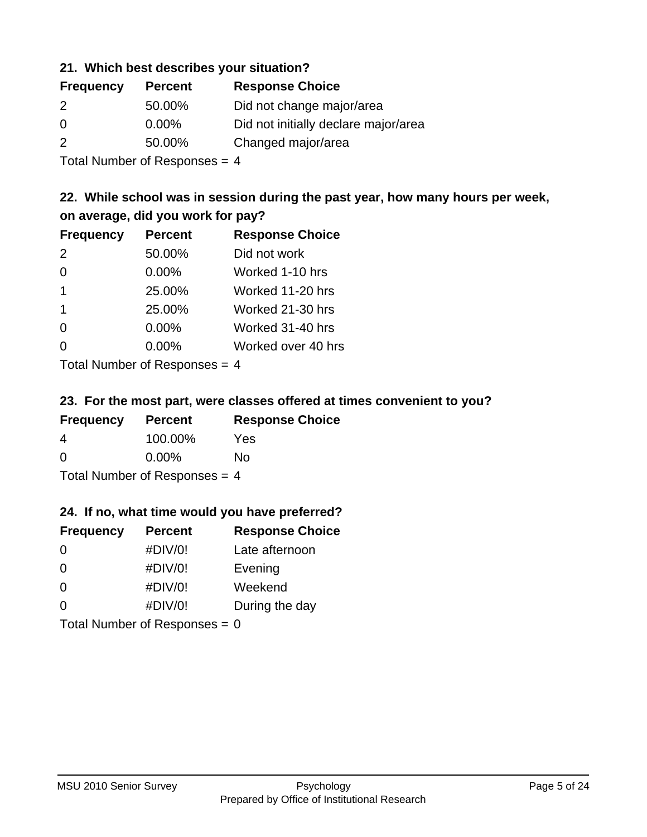### **21. Which best describes your situation?**

| <b>Frequency</b> | <b>Percent</b> | <b>Response Choice</b>               |
|------------------|----------------|--------------------------------------|
| 2                | 50.00%         | Did not change major/area            |
| $\Omega$         | $0.00\%$       | Did not initially declare major/area |
| 2                | 50.00%         | Changed major/area                   |
|                  |                |                                      |

Total Number of Responses = 4

## **22. While school was in session during the past year, how many hours per week, on average, did you work for pay?**

| <b>Frequency</b> | <b>Percent</b> | <b>Response Choice</b> |
|------------------|----------------|------------------------|
| 2                | 50.00%         | Did not work           |
| $\Omega$         | 0.00%          | Worked 1-10 hrs        |
| $\mathbf 1$      | 25.00%         | Worked 11-20 hrs       |
| $\overline{1}$   | 25.00%         | Worked 21-30 hrs       |
| $\Omega$         | 0.00%          | Worked 31-40 hrs       |
| $\Omega$         | 0.00%          | Worked over 40 hrs     |
|                  |                |                        |

Total Number of Responses = 4

### **23. For the most part, were classes offered at times convenient to you?**

| <b>Frequency</b>                | <b>Percent</b> | <b>Response Choice</b> |
|---------------------------------|----------------|------------------------|
| 4                               | 100.00%        | Yes                    |
| $\Omega$                        | $0.00\%$       | Nο                     |
| Total Number of Responses = $4$ |                |                        |

### **24. If no, what time would you have preferred?**

| <b>Frequency</b> | <b>Percent</b>                  | <b>Response Choice</b> |
|------------------|---------------------------------|------------------------|
| $\Omega$         | #DIV/0!                         | Late afternoon         |
| $\Omega$         | #DIV/0!                         | Evening                |
| $\Omega$         | #DIV/0!                         | Weekend                |
| $\Omega$         | #DIV/0!                         | During the day         |
|                  | Total Number of Responses = $0$ |                        |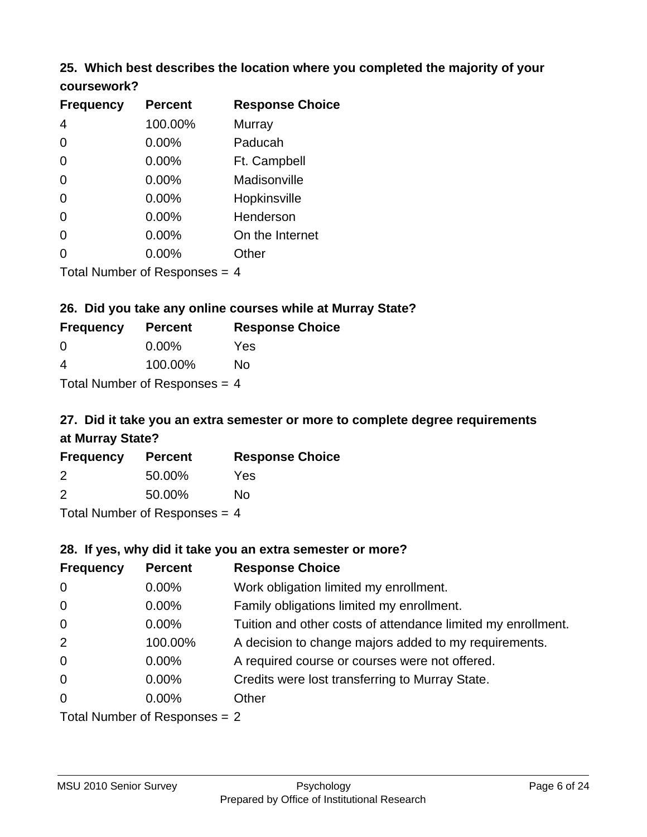### **25. Which best describes the location where you completed the majority of your coursework?**

| <b>Frequency</b> | <b>Percent</b>            | <b>Response Choice</b> |
|------------------|---------------------------|------------------------|
| 4                | 100.00%                   | <b>Murray</b>          |
| 0                | 0.00%                     | Paducah                |
| $\Omega$         | 0.00%                     | Ft. Campbell           |
| $\overline{0}$   | 0.00%                     | Madisonville           |
| $\overline{0}$   | 0.00%                     | Hopkinsville           |
| 0                | 0.00%                     | Henderson              |
| $\overline{0}$   | 0.00%                     | On the Internet        |
| 0                | 0.00%                     | Other                  |
|                  | Total Number of Deepensee | $\overline{ }$         |

Total Number of Responses = 4

## **26. Did you take any online courses while at Murray State?**

| <b>Frequency</b>                | <b>Percent</b> | <b>Response Choice</b> |
|---------------------------------|----------------|------------------------|
| -0                              | $0.00\%$       | Yes                    |
| -4                              | 100.00%        | No                     |
| Total Number of Responses $=$ 4 |                |                        |

## **27. Did it take you an extra semester or more to complete degree requirements at Murray State?**

| <b>Frequency</b> | <b>Percent</b>              | <b>Response Choice</b> |
|------------------|-----------------------------|------------------------|
| 2                | 50.00%                      | Yes                    |
| 2                | 50.00%                      | No                     |
|                  | Tatal Massakan af Dagmannar |                        |

Total Number of Responses = 4

### **28. If yes, why did it take you an extra semester or more?**

| <b>Frequency</b>                | <b>Percent</b> | <b>Response Choice</b>                                       |
|---------------------------------|----------------|--------------------------------------------------------------|
| $\mathbf 0$                     | 0.00%          | Work obligation limited my enrollment.                       |
| $\mathbf 0$                     | $0.00\%$       | Family obligations limited my enrollment.                    |
| $\overline{0}$                  | 0.00%          | Tuition and other costs of attendance limited my enrollment. |
| 2                               | 100.00%        | A decision to change majors added to my requirements.        |
| $\mathbf 0$                     | 0.00%          | A required course or courses were not offered.               |
| $\overline{0}$                  | $0.00\%$       | Credits were lost transferring to Murray State.              |
| $\Omega$                        | $0.00\%$       | Other                                                        |
| Total Number of Responses $= 2$ |                |                                                              |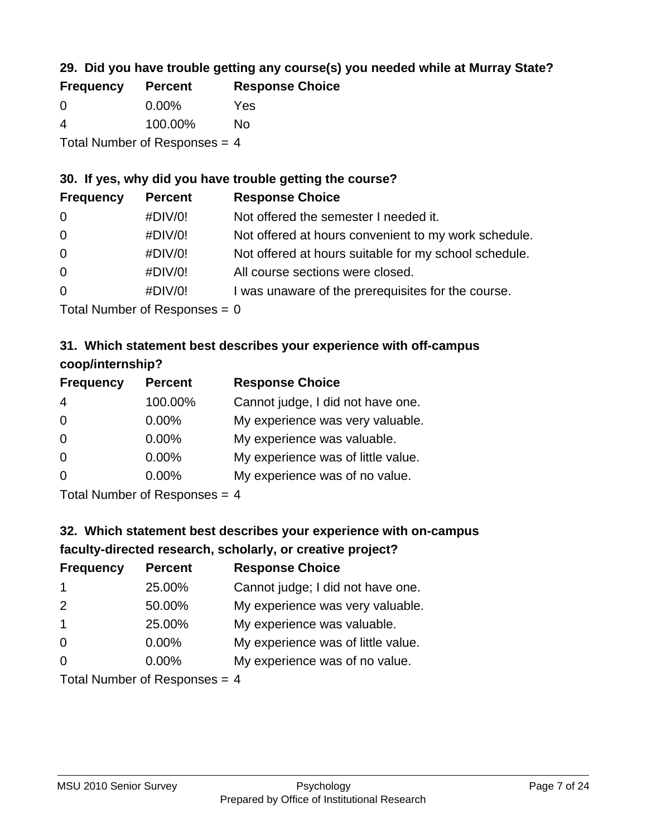## **29. Did you have trouble getting any course(s) you needed while at Murray State?**

| <b>Frequency</b>                | <b>Percent</b> | <b>Response Choice</b> |
|---------------------------------|----------------|------------------------|
| - 0                             | $0.00\%$       | Yes                    |
| -4                              | 100.00%        | Nο                     |
| Total Number of Responses $=$ 4 |                |                        |

### **30. If yes, why did you have trouble getting the course?**

| <b>Frequency</b> | <b>Percent</b> | <b>Response Choice</b>                                |
|------------------|----------------|-------------------------------------------------------|
| $\overline{0}$   | #DIV/0!        | Not offered the semester I needed it.                 |
| $\overline{0}$   | #DIV/0!        | Not offered at hours convenient to my work schedule.  |
| $\overline{0}$   | #DIV/0!        | Not offered at hours suitable for my school schedule. |
| $\overline{0}$   | #DIV/0!        | All course sections were closed.                      |
| $\overline{0}$   | #DIV/0!        | I was unaware of the prerequisites for the course.    |
|                  |                |                                                       |

Total Number of Responses  $= 0$ 

## **31. Which statement best describes your experience with off-campus coop/internship?**

| <b>Frequency</b> | <b>Percent</b>                                                  | <b>Response Choice</b>             |
|------------------|-----------------------------------------------------------------|------------------------------------|
| $\overline{4}$   | 100.00%                                                         | Cannot judge, I did not have one.  |
| $\Omega$         | 0.00%                                                           | My experience was very valuable.   |
| $\Omega$         | 0.00%                                                           | My experience was valuable.        |
| $\Omega$         | 0.00%                                                           | My experience was of little value. |
| $\Omega$         | 0.00%                                                           | My experience was of no value.     |
|                  | $\tau$ . $\Gamma$ is the set of $\Gamma$ is the set of $\Gamma$ |                                    |

Total Number of Responses = 4

# **32. Which statement best describes your experience with on-campus faculty-directed research, scholarly, or creative project?**

| <b>Frequency</b> | <b>Percent</b>                                                                                                                                                                                                                                                                                                                                                                                                                                                                                                                                                                                                       | <b>Response Choice</b>             |
|------------------|----------------------------------------------------------------------------------------------------------------------------------------------------------------------------------------------------------------------------------------------------------------------------------------------------------------------------------------------------------------------------------------------------------------------------------------------------------------------------------------------------------------------------------------------------------------------------------------------------------------------|------------------------------------|
| $\overline{1}$   | 25.00%                                                                                                                                                                                                                                                                                                                                                                                                                                                                                                                                                                                                               | Cannot judge; I did not have one.  |
| 2                | 50.00%                                                                                                                                                                                                                                                                                                                                                                                                                                                                                                                                                                                                               | My experience was very valuable.   |
| $\overline{1}$   | 25.00%                                                                                                                                                                                                                                                                                                                                                                                                                                                                                                                                                                                                               | My experience was valuable.        |
| $\Omega$         | $0.00\%$                                                                                                                                                                                                                                                                                                                                                                                                                                                                                                                                                                                                             | My experience was of little value. |
| $\Omega$         | 0.00%                                                                                                                                                                                                                                                                                                                                                                                                                                                                                                                                                                                                                | My experience was of no value.     |
|                  | $T_{\text{shell}}$ N <sub>1</sub> $\mu$ <sub>n</sub> $\mu$ <sub>n</sub> $\mu$ <sub>n</sub> $\sigma$ <sub>n</sub> $\sigma$ <sub>n</sub> $\sigma$ <sub>n</sub> $\sigma$ <sub>n</sub> $\sigma$ <sub>n</sub> $\sigma$ <sub>n</sub> $\sigma$ <sub>n</sub> $\sigma$ <sub>n</sub> $\sigma$ <sub>n</sub> $\sigma$ <sub>n</sub> $\sigma$ <sub>n</sub> $\sigma$ <sub>n</sub> $\sigma$ <sub>n</sub> $\sigma$ <sub>n</sub> $\sigma$ <sub>n</sub> $\sigma$ <sub>n</sub> $\sigma$ <sub>n</sub> $\sigma$ <sub>n</sub> $\sigma$ <sub>n</sub> $\sigma$ <sub>n</sub> $\sigma$ <sub>n</sub> $\sigma$ <sub>n</sub> $\sigma$ <sub>n</sub> |                                    |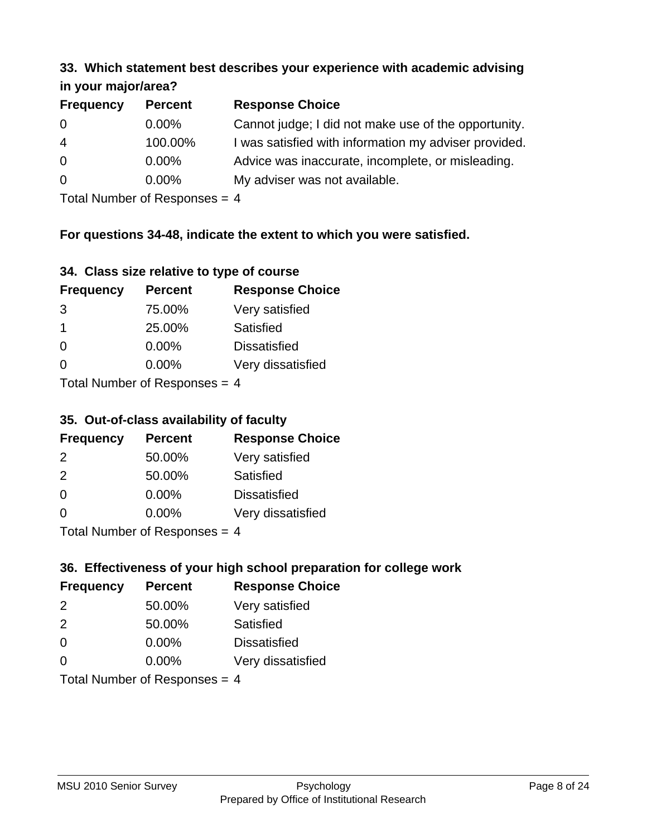#### **33. Which statement best describes your experience with academic advising in your major/area?**

| $\cdots$ your mapproved. |                |                                                       |
|--------------------------|----------------|-------------------------------------------------------|
| <b>Frequency</b>         | <b>Percent</b> | <b>Response Choice</b>                                |
| 0                        | $0.00\%$       | Cannot judge; I did not make use of the opportunity.  |
| $\overline{4}$           | 100.00%        | I was satisfied with information my adviser provided. |
| $\overline{0}$           | $0.00\%$       | Advice was inaccurate, incomplete, or misleading.     |
| $\overline{0}$           | $0.00\%$       | My adviser was not available.                         |
|                          |                |                                                       |

Total Number of Responses = 4

## **For questions 34-48, indicate the extent to which you were satisfied.**

| 34. Class size relative to type of course |
|-------------------------------------------|
|-------------------------------------------|

| <b>Frequency</b>              | <b>Percent</b> | <b>Response Choice</b> |  |
|-------------------------------|----------------|------------------------|--|
| 3                             | 75.00%         | Very satisfied         |  |
| -1                            | 25.00%         | Satisfied              |  |
| $\Omega$                      | $0.00\%$       | <b>Dissatisfied</b>    |  |
| $\Omega$                      | $0.00\%$       | Very dissatisfied      |  |
| $Total Number of Denonce = A$ |                |                        |  |

Total Number of Responses = 4

### **35. Out-of-class availability of faculty**

| <b>Frequency</b>           | <b>Percent</b> | <b>Response Choice</b> |
|----------------------------|----------------|------------------------|
| $\mathcal{P}$              | 50.00%         | Very satisfied         |
| $\mathcal{P}$              | 50.00%         | Satisfied              |
| $\Omega$                   | $0.00\%$       | <b>Dissatisfied</b>    |
| $\Omega$                   | $0.00\%$       | Very dissatisfied      |
| Total Number of Deepersoon |                |                        |

Total Number of Responses = 4

## **36. Effectiveness of your high school preparation for college work**

| <b>Frequency</b>              | <b>Percent</b> | <b>Response Choice</b> |  |
|-------------------------------|----------------|------------------------|--|
| 2                             | 50.00%         | Very satisfied         |  |
| $\mathcal{P}$                 | 50.00%         | Satisfied              |  |
| $\Omega$                      | 0.00%          | <b>Dissatisfied</b>    |  |
| $\Omega$                      | $0.00\%$       | Very dissatisfied      |  |
| $Total Number of Denonce - A$ |                |                        |  |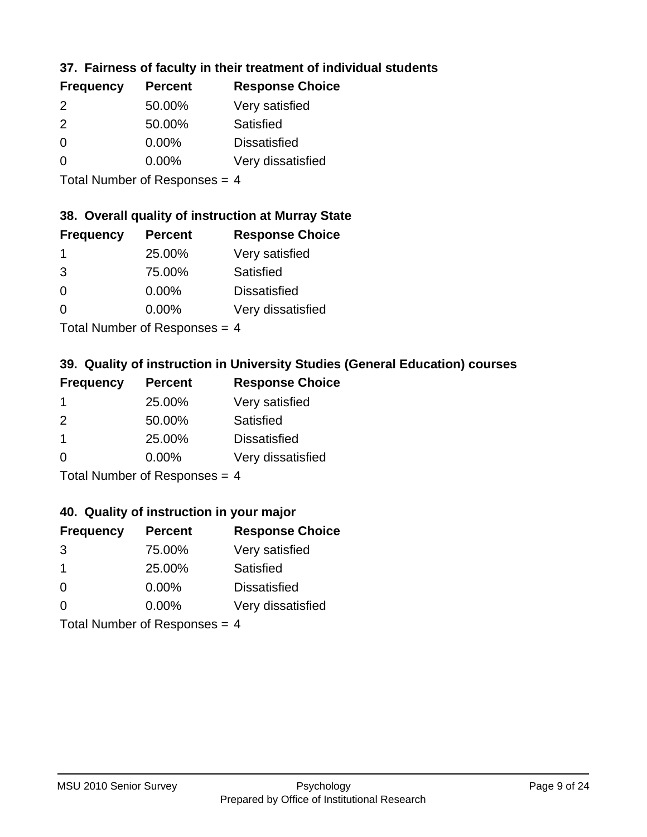## **37. Fairness of faculty in their treatment of individual students**

| <b>Frequency</b> | <b>Percent</b> | <b>Response Choice</b> |
|------------------|----------------|------------------------|
| $\mathcal{P}$    | 50.00%         | Very satisfied         |
| $\mathcal{P}$    | 50.00%         | Satisfied              |
| $\Omega$         | $0.00\%$       | <b>Dissatisfied</b>    |
| $\Omega$         | $0.00\%$       | Very dissatisfied      |
|                  |                |                        |

Total Number of Responses = 4

### **38. Overall quality of instruction at Murray State**

| <b>Frequency</b> | <b>Percent</b> | <b>Response Choice</b> |
|------------------|----------------|------------------------|
|                  | 25.00%         | Very satisfied         |
| 3                | 75.00%         | Satisfied              |
| $\Omega$         | 0.00%          | <b>Dissatisfied</b>    |
| ∩                | 0.00%          | Very dissatisfied      |
|                  |                |                        |

Total Number of Responses = 4

## **39. Quality of instruction in University Studies (General Education) courses**

| <b>Frequency</b> | <b>Percent</b>               | <b>Response Choice</b> |
|------------------|------------------------------|------------------------|
|                  | 25.00%                       | Very satisfied         |
| $\mathcal{P}$    | 50.00%                       | Satisfied              |
| -1               | 25.00%                       | <b>Dissatisfied</b>    |
| $\Omega$         | $0.00\%$                     | Very dissatisfied      |
|                  | $\tau$ . The state of $\sim$ |                        |

Total Number of Responses  $= 4$ 

### **40. Quality of instruction in your major**

| <b>Frequency</b> | <b>Percent</b>             | <b>Response Choice</b> |
|------------------|----------------------------|------------------------|
| 3                | 75.00%                     | Very satisfied         |
| -1               | 25.00%                     | Satisfied              |
| $\Omega$         | 0.00%                      | <b>Dissatisfied</b>    |
| $\Omega$         | 0.00%                      | Very dissatisfied      |
|                  | Total Number of Deepersoon |                        |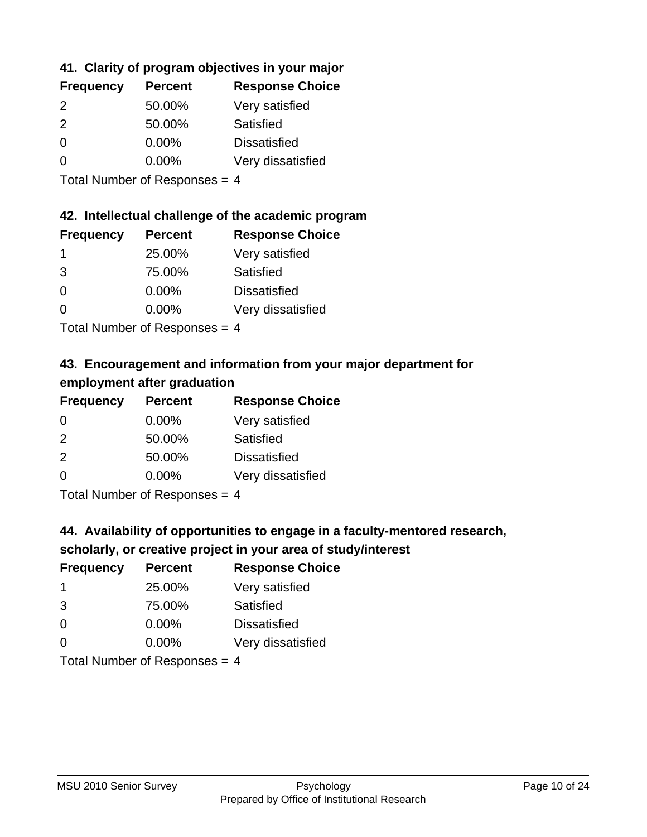## **41. Clarity of program objectives in your major**

| <b>Frequency</b> | <b>Percent</b> | <b>Response Choice</b> |
|------------------|----------------|------------------------|
| $\mathcal{P}$    | 50.00%         | Very satisfied         |
| $\mathcal{P}$    | 50.00%         | Satisfied              |
| 0                | $0.00\%$       | <b>Dissatisfied</b>    |
| ∩                | 0.00%          | Very dissatisfied      |

Total Number of Responses = 4

## **42. Intellectual challenge of the academic program**

| <b>Frequency</b> | <b>Percent</b> | <b>Response Choice</b> |
|------------------|----------------|------------------------|
|                  | 25.00%         | Very satisfied         |
| 3                | 75.00%         | Satisfied              |
| $\Omega$         | 0.00%          | <b>Dissatisfied</b>    |
| $\Omega$         | 0.00%          | Very dissatisfied      |
|                  |                |                        |

Total Number of Responses = 4

## **43. Encouragement and information from your major department for employment after graduation**

| <b>Frequency</b> | <b>Percent</b> | <b>Response Choice</b> |
|------------------|----------------|------------------------|
| 0                | $0.00\%$       | Very satisfied         |
| 2                | 50.00%         | Satisfied              |
| 2                | 50.00%         | <b>Dissatisfied</b>    |
| 0                | 0.00%          | Very dissatisfied      |
|                  |                |                        |

Total Number of Responses = 4

## **44. Availability of opportunities to engage in a faculty-mentored research,**

## **scholarly, or creative project in your area of study/interest**

| <b>Frequency</b> | <b>Percent</b> | <b>Response Choice</b> |
|------------------|----------------|------------------------|
|                  | 25.00%         | Very satisfied         |
| 3                | 75.00%         | Satisfied              |
| $\Omega$         | 0.00%          | <b>Dissatisfied</b>    |
| ∩                | 0.00%          | Very dissatisfied      |
|                  |                |                        |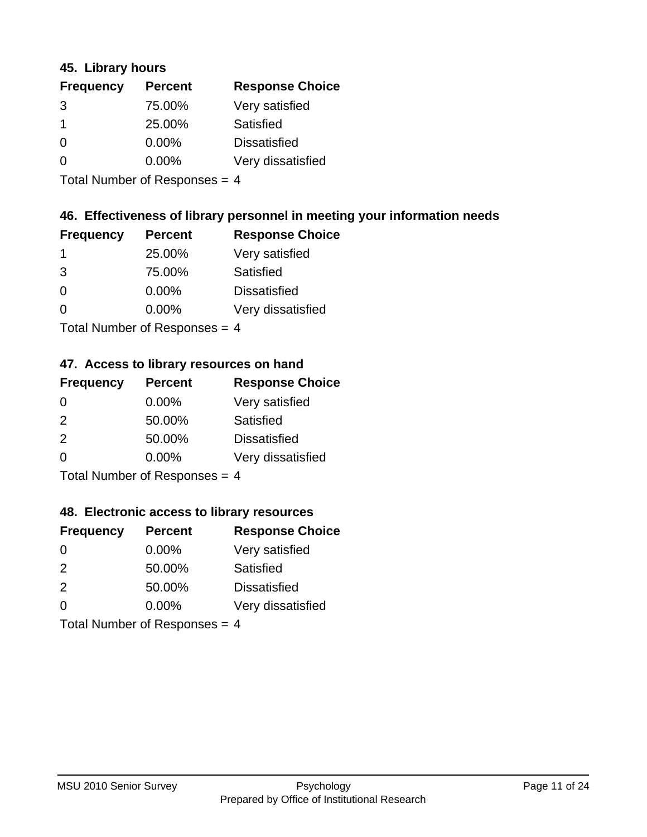### **45. Library hours**

| <b>Frequency</b> | <b>Percent</b> | <b>Response Choice</b> |
|------------------|----------------|------------------------|
| 3                | 75.00%         | Very satisfied         |
|                  | 25.00%         | Satisfied              |
| $\Omega$         | $0.00\%$       | <b>Dissatisfied</b>    |
| ∩                | $0.00\%$       | Very dissatisfied      |
|                  |                |                        |

Total Number of Responses = 4

## **46. Effectiveness of library personnel in meeting your information needs**

| <b>Frequency</b> | <b>Percent</b> | <b>Response Choice</b> |
|------------------|----------------|------------------------|
|                  | 25.00%         | Very satisfied         |
| 3                | 75.00%         | Satisfied              |
| $\Omega$         | $0.00\%$       | <b>Dissatisfied</b>    |
| O                | $0.00\%$       | Very dissatisfied      |
|                  |                |                        |

Total Number of Responses = 4

## **47. Access to library resources on hand**

| <b>Frequency</b> | <b>Percent</b>             | <b>Response Choice</b> |
|------------------|----------------------------|------------------------|
| $\Omega$         | $0.00\%$                   | Very satisfied         |
| $\mathcal{P}$    | 50.00%                     | Satisfied              |
| 2                | 50.00%                     | <b>Dissatisfied</b>    |
| $\Omega$         | 0.00%                      | Very dissatisfied      |
|                  | Total Number of Deepersoon |                        |

Total Number of Responses = 4

### **48. Electronic access to library resources**

| <b>Frequency</b>                | <b>Percent</b> | <b>Response Choice</b> |
|---------------------------------|----------------|------------------------|
| $\Omega$                        | $0.00\%$       | Very satisfied         |
| 2                               | 50.00%         | Satisfied              |
| 2                               | 50.00%         | <b>Dissatisfied</b>    |
| $\Omega$                        | $0.00\%$       | Very dissatisfied      |
| Total Number of Responses = $4$ |                |                        |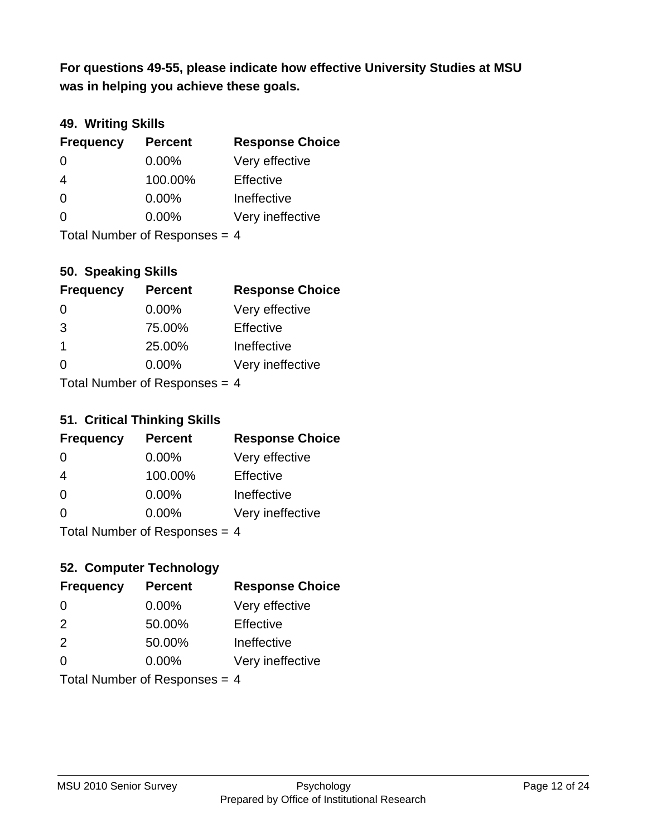**was in helping you achieve these goals. For questions 49-55, please indicate how effective University Studies at MSU** 

## **49. Writing Skills**

| <b>Frequency</b>                | <b>Percent</b> | <b>Response Choice</b> |
|---------------------------------|----------------|------------------------|
| $\Omega$                        | $0.00\%$       | Very effective         |
| 4                               | 100.00%        | Effective              |
| $\Omega$                        | $0.00\%$       | Ineffective            |
| $\Omega$                        | $0.00\%$       | Very ineffective       |
| Total Number of Responses = $4$ |                |                        |

**50. Speaking Skills**

| <b>Frequency</b> | <b>Percent</b>             | <b>Response Choice</b> |
|------------------|----------------------------|------------------------|
| $\Omega$         | 0.00%                      | Very effective         |
| 3                | 75.00%                     | Effective              |
| $\overline{1}$   | 25.00%                     | Ineffective            |
| $\Omega$         | 0.00%                      | Very ineffective       |
|                  | Total Number of Deepersoon |                        |

Total Number of Responses = 4

### **51. Critical Thinking Skills**

| <b>Frequency</b>            | <b>Percent</b> | <b>Response Choice</b> |
|-----------------------------|----------------|------------------------|
| $\Omega$                    | $0.00\%$       | Very effective         |
| 4                           | 100.00%        | Effective              |
| $\Omega$                    | 0.00%          | Ineffective            |
| $\Omega$                    | 0.00%          | Very ineffective       |
| Total Number of Deepensee 4 |                |                        |

Total Number of Responses = 4

## **52. Computer Technology**

| <b>Frequency</b>                | <b>Percent</b> | <b>Response Choice</b> |
|---------------------------------|----------------|------------------------|
| $\Omega$                        | $0.00\%$       | Very effective         |
| 2                               | 50.00%         | Effective              |
| 2                               | 50.00%         | Ineffective            |
| $\Omega$                        | $0.00\%$       | Very ineffective       |
| Total Number of Responses = $4$ |                |                        |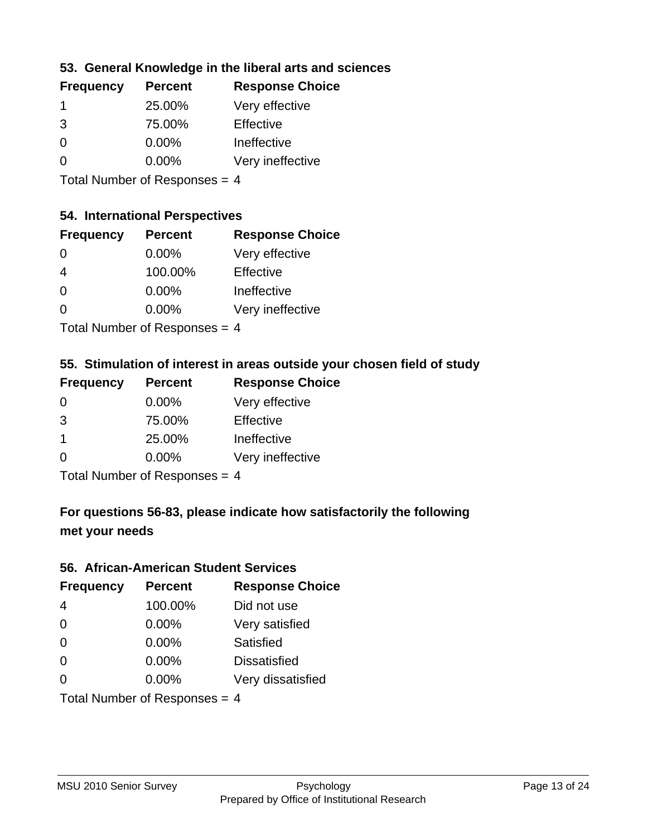## **53. General Knowledge in the liberal arts and sciences**

| <b>Frequency</b> | <b>Percent</b> | <b>Response Choice</b> |
|------------------|----------------|------------------------|
|                  | 25.00%         | Very effective         |
| 3                | 75.00%         | Effective              |
| $\Omega$         | $0.00\%$       | Ineffective            |
| O                | 0.00%          | Very ineffective       |
|                  |                |                        |

Total Number of Responses = 4

#### **54. International Perspectives**

| <b>Frequency</b> | <b>Percent</b> | <b>Response Choice</b> |
|------------------|----------------|------------------------|
| $\Omega$         | 0.00%          | Very effective         |
| 4                | 100.00%        | Effective              |
| $\Omega$         | 0.00%          | Ineffective            |
| 0                | 0.00%          | Very ineffective       |
|                  |                |                        |

Total Number of Responses = 4

## **55. Stimulation of interest in areas outside your chosen field of study**

| <b>Frequency</b> | <b>Percent</b>             | <b>Response Choice</b> |
|------------------|----------------------------|------------------------|
| $\Omega$         | 0.00%                      | Very effective         |
| 3                | 75.00%                     | Effective              |
| -1               | 25.00%                     | Ineffective            |
| $\Omega$         | 0.00%                      | Very ineffective       |
|                  | Total Number of Deepersoon |                        |

Total Number of Responses = 4

## **For questions 56-83, please indicate how satisfactorily the following met your needs**

#### **56. African-American Student Services**

| <b>Frequency</b>              | <b>Percent</b> | <b>Response Choice</b> |
|-------------------------------|----------------|------------------------|
| 4                             | 100.00%        | Did not use            |
| $\Omega$                      | 0.00%          | Very satisfied         |
| $\Omega$                      | 0.00%          | <b>Satisfied</b>       |
| $\Omega$                      | 0.00%          | <b>Dissatisfied</b>    |
| $\Omega$                      | 0.00%          | Very dissatisfied      |
| Total Number of Responses = 4 |                |                        |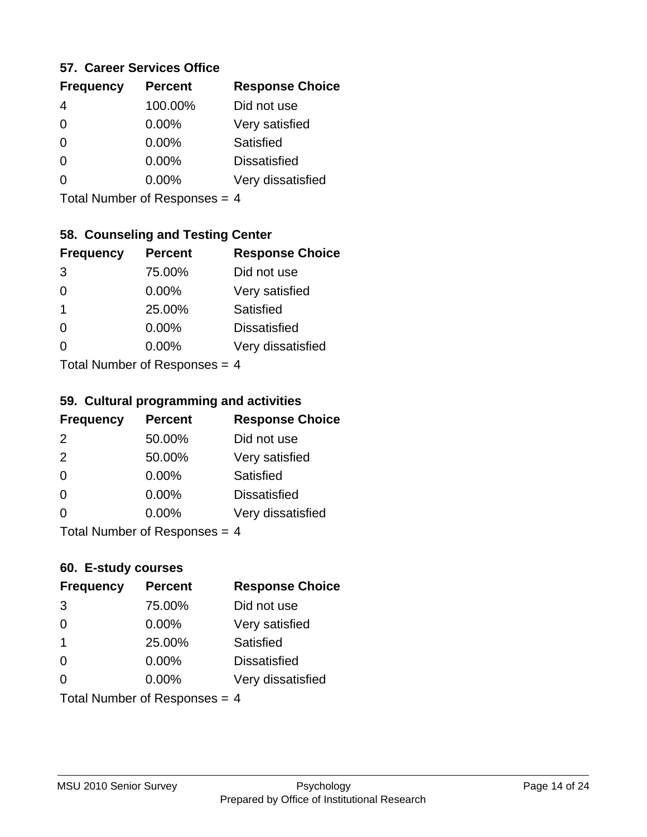### **57. Career Services Office**

| <b>Frequency</b> | <b>Percent</b> | <b>Response Choice</b> |
|------------------|----------------|------------------------|
|                  | 100.00%        | Did not use            |
| 0                | $0.00\%$       | Very satisfied         |
| 0                | $0.00\%$       | Satisfied              |
|                  | $0.00\%$       | <b>Dissatisfied</b>    |
|                  | $0.00\%$       | Very dissatisfied      |
|                  |                |                        |

Total Number of Responses = 4

## **58. Counseling and Testing Center**

| <b>Frequency</b>                     | <b>Percent</b> | <b>Response Choice</b> |
|--------------------------------------|----------------|------------------------|
| 3                                    | 75.00%         | Did not use            |
| 0                                    | 0.00%          | Very satisfied         |
| 1                                    | 25.00%         | <b>Satisfied</b>       |
| ∩                                    | 0.00%          | <b>Dissatisfied</b>    |
| 0                                    | 0.00%          | Very dissatisfied      |
| $Total Number of DoEROROR = \Lambda$ |                |                        |

Total Number of Responses = 4

#### **59. Cultural programming and activities**

| <b>Frequency</b>                | <b>Percent</b> | <b>Response Choice</b> |
|---------------------------------|----------------|------------------------|
| 2                               | 50.00%         | Did not use            |
| 2                               | 50.00%         | Very satisfied         |
| $\Omega$                        | 0.00%          | <b>Satisfied</b>       |
| $\Omega$                        | $0.00\%$       | <b>Dissatisfied</b>    |
| $\Omega$                        | $0.00\%$       | Very dissatisfied      |
| Total Number of Responses = $4$ |                |                        |

### **60. E-study courses**

| <b>Frequency</b>                | <b>Percent</b> | <b>Response Choice</b> |
|---------------------------------|----------------|------------------------|
| 3                               | 75.00%         | Did not use            |
| $\Omega$                        | 0.00%          | Very satisfied         |
| $\mathbf 1$                     | 25.00%         | Satisfied              |
| $\Omega$                        | $0.00\%$       | <b>Dissatisfied</b>    |
| $\Omega$                        | $0.00\%$       | Very dissatisfied      |
| Total Number of Responses = $4$ |                |                        |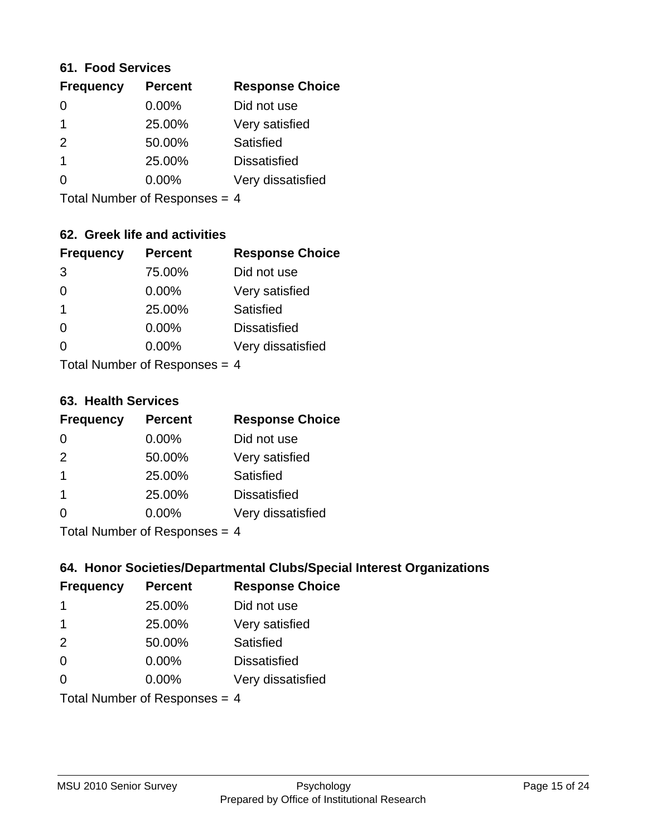#### **61. Food Services**

| <b>Percent</b> | <b>Response Choice</b> |
|----------------|------------------------|
| 0.00%          | Did not use            |
| 25.00%         | Very satisfied         |
| 50.00%         | Satisfied              |
| 25.00%         | <b>Dissatisfied</b>    |
| $0.00\%$       | Very dissatisfied      |
|                |                        |

Total Number of Responses = 4

## **62. Greek life and activities**

| <b>Frequency</b>              | <b>Percent</b> | <b>Response Choice</b> |
|-------------------------------|----------------|------------------------|
| 3                             | 75.00%         | Did not use            |
| 0                             | 0.00%          | Very satisfied         |
| 1                             | 25.00%         | Satisfied              |
| 0                             | 0.00%          | <b>Dissatisfied</b>    |
|                               | $0.00\%$       | Very dissatisfied      |
| Total Number of Responses = 4 |                |                        |

**63. Health Services**

| <b>Frequency</b> | <b>Percent</b>             | <b>Response Choice</b> |
|------------------|----------------------------|------------------------|
| $\Omega$         | $0.00\%$                   | Did not use            |
| 2                | 50.00%                     | Very satisfied         |
| -1               | 25.00%                     | <b>Satisfied</b>       |
| -1               | 25.00%                     | <b>Dissatisfied</b>    |
| $\Omega$         | 0.00%                      | Very dissatisfied      |
|                  | Total Number of Desperance |                        |

Total Number of Responses = 4

### **64. Honor Societies/Departmental Clubs/Special Interest Organizations**

| <b>Frequency</b>                | <b>Percent</b> | <b>Response Choice</b> |
|---------------------------------|----------------|------------------------|
| 1                               | 25.00%         | Did not use            |
| -1                              | 25.00%         | Very satisfied         |
| 2                               | 50.00%         | Satisfied              |
| $\Omega$                        | 0.00%          | <b>Dissatisfied</b>    |
| 0                               | 0.00%          | Very dissatisfied      |
| Total Number of Responses = $4$ |                |                        |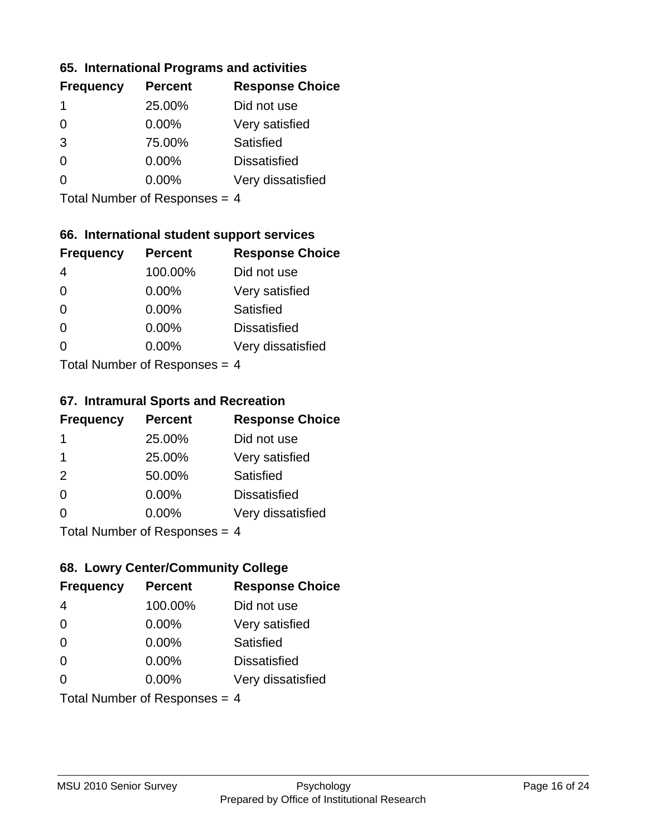### **65. International Programs and activities**

| <b>Frequency</b> | <b>Percent</b> | <b>Response Choice</b> |
|------------------|----------------|------------------------|
| 1                | 25.00%         | Did not use            |
| 0                | 0.00%          | Very satisfied         |
| 3                | 75.00%         | Satisfied              |
| O                | $0.00\%$       | <b>Dissatisfied</b>    |
|                  | $0.00\%$       | Very dissatisfied      |
|                  |                |                        |

Total Number of Responses = 4

## **66. International student support services**

| <b>Frequency</b>                     | <b>Percent</b> | <b>Response Choice</b> |
|--------------------------------------|----------------|------------------------|
| 4                                    | 100.00%        | Did not use            |
| $\Omega$                             | 0.00%          | Very satisfied         |
| $\Omega$                             | 0.00%          | <b>Satisfied</b>       |
| $\Omega$                             | 0.00%          | <b>Dissatisfied</b>    |
| 0                                    | 0.00%          | Very dissatisfied      |
| $Total Number of DoEROROR = \Lambda$ |                |                        |

Total Number of Responses = 4

#### **67. Intramural Sports and Recreation**

| <b>Frequency</b>                     | <b>Percent</b> | <b>Response Choice</b> |
|--------------------------------------|----------------|------------------------|
| -1                                   | 25.00%         | Did not use            |
| -1                                   | 25.00%         | Very satisfied         |
| 2                                    | 50.00%         | Satisfied              |
| $\Omega$                             | $0.00\%$       | <b>Dissatisfied</b>    |
| ∩                                    | $0.00\%$       | Very dissatisfied      |
| $Total Number of DoEROROR = \Lambda$ |                |                        |

Total Number of Responses = 4

## **68. Lowry Center/Community College**

| <b>Frequency</b>              | <b>Percent</b> | <b>Response Choice</b> |
|-------------------------------|----------------|------------------------|
| 4                             | 100.00%        | Did not use            |
| $\Omega$                      | 0.00%          | Very satisfied         |
| $\Omega$                      | 0.00%          | Satisfied              |
| $\Omega$                      | 0.00%          | <b>Dissatisfied</b>    |
| $\Omega$                      | $0.00\%$       | Very dissatisfied      |
| Total Number of Responses = 4 |                |                        |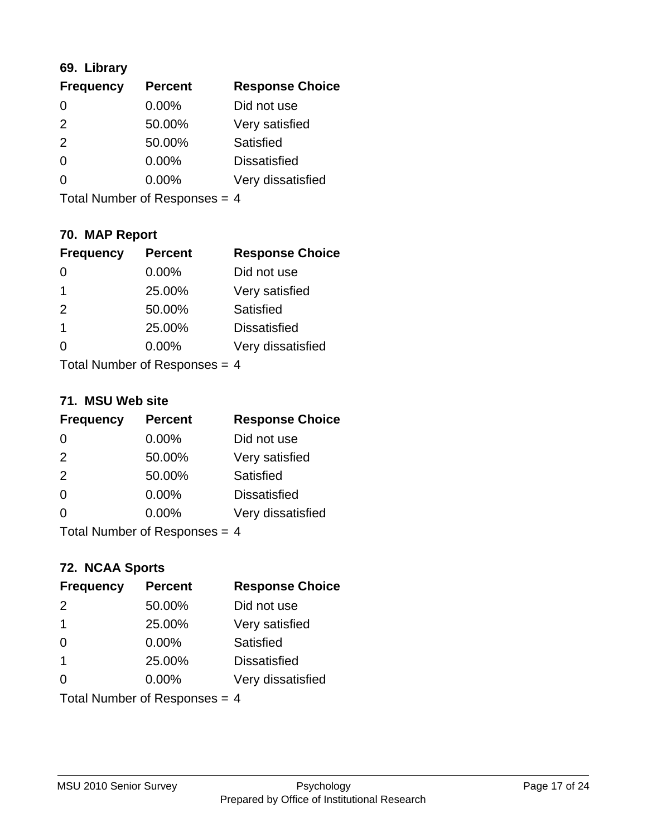## **69. Library**

| <b>Frequency</b> | <b>Percent</b> | <b>Response Choice</b> |
|------------------|----------------|------------------------|
| $\Omega$         | 0.00%          | Did not use            |
| $\mathcal{P}$    | 50.00%         | Very satisfied         |
| $\mathcal{P}$    | 50.00%         | Satisfied              |
| 0                | 0.00%          | <b>Dissatisfied</b>    |
| ∩                | 0.00%          | Very dissatisfied      |
|                  |                |                        |

Total Number of Responses = 4

## **70. MAP Report**

| <b>Frequency</b>                | <b>Percent</b> | <b>Response Choice</b> |
|---------------------------------|----------------|------------------------|
|                                 | 0.00%          | Did not use            |
| 1                               | 25.00%         | Very satisfied         |
| 2                               | 50.00%         | Satisfied              |
| 1                               | 25.00%         | <b>Dissatisfied</b>    |
|                                 | $0.00\%$       | Very dissatisfied      |
| Total Number of Responses = $4$ |                |                        |

#### **71. MSU Web site**

| <b>Frequency</b>                | <b>Percent</b> | <b>Response Choice</b> |
|---------------------------------|----------------|------------------------|
| $\Omega$                        | $0.00\%$       | Did not use            |
| 2                               | 50.00%         | Very satisfied         |
| 2                               | 50.00%         | Satisfied              |
| $\Omega$                        | 0.00%          | <b>Dissatisfied</b>    |
| $\Omega$                        | 0.00%          | Very dissatisfied      |
| Total Number of Responses = $4$ |                |                        |

### **72. NCAA Sports**

| <b>Frequency</b>                | <b>Percent</b> | <b>Response Choice</b> |
|---------------------------------|----------------|------------------------|
| $\mathcal{P}$                   | 50.00%         | Did not use            |
| -1                              | 25.00%         | Very satisfied         |
| $\Omega$                        | 0.00%          | Satisfied              |
| $\overline{\mathbf{1}}$         | 25.00%         | <b>Dissatisfied</b>    |
| ∩                               | $0.00\%$       | Very dissatisfied      |
| Total Number of Responses = $4$ |                |                        |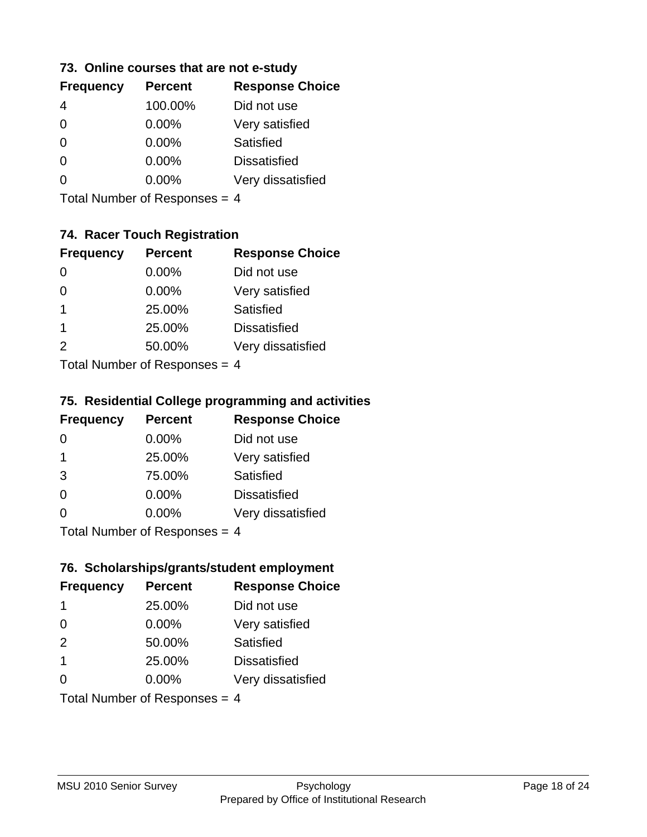### **73. Online courses that are not e-study**

| <b>Frequency</b> | <b>Percent</b> | <b>Response Choice</b> |
|------------------|----------------|------------------------|
|                  | 100.00%        | Did not use            |
| 0                | $0.00\%$       | Very satisfied         |
| 0                | $0.00\%$       | Satisfied              |
|                  | $0.00\%$       | <b>Dissatisfied</b>    |
|                  | $0.00\%$       | Very dissatisfied      |
|                  |                |                        |

Total Number of Responses = 4

## **74. Racer Touch Registration**

| <b>Frequency</b>          | <b>Percent</b> | <b>Response Choice</b> |
|---------------------------|----------------|------------------------|
| 0                         | 0.00%          | Did not use            |
| 0                         | 0.00%          | Very satisfied         |
| 1                         | 25.00%         | <b>Satisfied</b>       |
| 1                         | 25.00%         | <b>Dissatisfied</b>    |
| $\mathcal{P}$             | 50.00%         | Very dissatisfied      |
| Total Number of Despanses |                |                        |

Total Number of Responses = 4

## **75. Residential College programming and activities**

| <b>Frequency</b>                     | <b>Percent</b> | <b>Response Choice</b> |
|--------------------------------------|----------------|------------------------|
| $\Omega$                             | $0.00\%$       | Did not use            |
| $\overline{1}$                       | 25.00%         | Very satisfied         |
| 3                                    | 75.00%         | Satisfied              |
| $\Omega$                             | 0.00%          | <b>Dissatisfied</b>    |
| $\Omega$                             | 0.00%          | Very dissatisfied      |
| $Total Number of DoEROROR = \Lambda$ |                |                        |

I otal Number of Responses = 4

## **76. Scholarships/grants/student employment**

| <b>Frequency</b>                | <b>Percent</b> | <b>Response Choice</b> |
|---------------------------------|----------------|------------------------|
| 1                               | 25.00%         | Did not use            |
| $\Omega$                        | 0.00%          | Very satisfied         |
| 2                               | 50.00%         | Satisfied              |
| -1                              | 25.00%         | <b>Dissatisfied</b>    |
| ∩                               | $0.00\%$       | Very dissatisfied      |
| Total Number of Responses = $4$ |                |                        |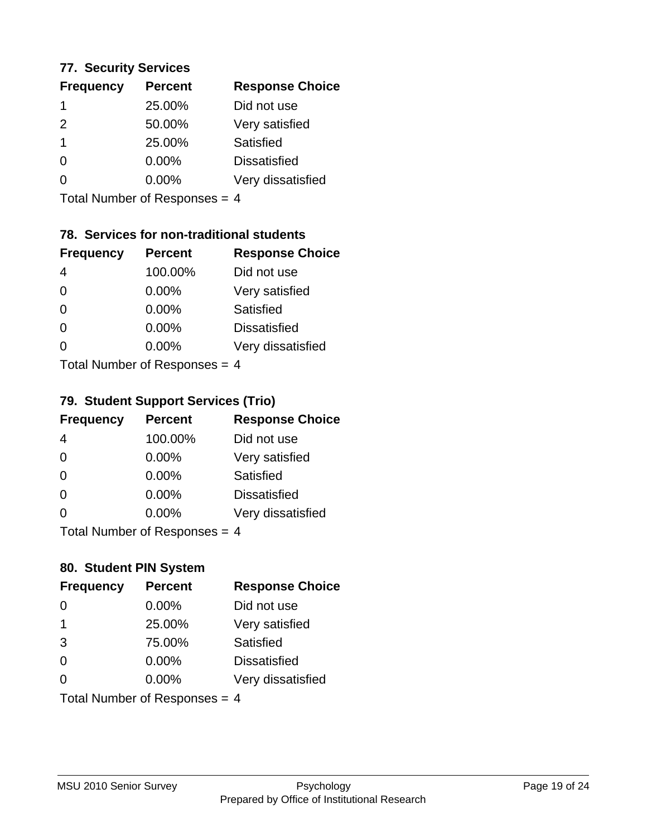### **77. Security Services**

| <b>Percent</b> | <b>Response Choice</b> |
|----------------|------------------------|
| 25.00%         | Did not use            |
| 50.00%         | Very satisfied         |
| 25.00%         | Satisfied              |
| 0.00%          | <b>Dissatisfied</b>    |
| 0.00%          | Very dissatisfied      |
|                |                        |

Total Number of Responses = 4

## **78. Services for non-traditional students**

| <b>Frequency</b>                     | <b>Percent</b> | <b>Response Choice</b> |
|--------------------------------------|----------------|------------------------|
| 4                                    | 100.00%        | Did not use            |
| $\Omega$                             | 0.00%          | Very satisfied         |
| $\Omega$                             | 0.00%          | <b>Satisfied</b>       |
| $\Omega$                             | 0.00%          | <b>Dissatisfied</b>    |
| 0                                    | 0.00%          | Very dissatisfied      |
| $Total Number of DoEROROR = \Lambda$ |                |                        |

Total Number of Responses = 4

## **79. Student Support Services (Trio)**

| <b>Frequency</b>                     | <b>Percent</b> | <b>Response Choice</b> |
|--------------------------------------|----------------|------------------------|
| 4                                    | 100.00%        | Did not use            |
| $\Omega$                             | 0.00%          | Very satisfied         |
| $\Omega$                             | $0.00\%$       | Satisfied              |
| $\Omega$                             | $0.00\%$       | <b>Dissatisfied</b>    |
| $\Omega$                             | 0.00%          | Very dissatisfied      |
| $Total Number of DoEROROR = \Lambda$ |                |                        |

I otal Number of Responses = 4

## **80. Student PIN System**

| <b>Frequency</b>              | <b>Percent</b> | <b>Response Choice</b> |
|-------------------------------|----------------|------------------------|
| 0                             | 0.00%          | Did not use            |
| 1                             | 25.00%         | Very satisfied         |
| 3                             | 75.00%         | Satisfied              |
| $\Omega$                      | $0.00\%$       | <b>Dissatisfied</b>    |
| $\Omega$                      | $0.00\%$       | Very dissatisfied      |
| Total Number of Responses = 4 |                |                        |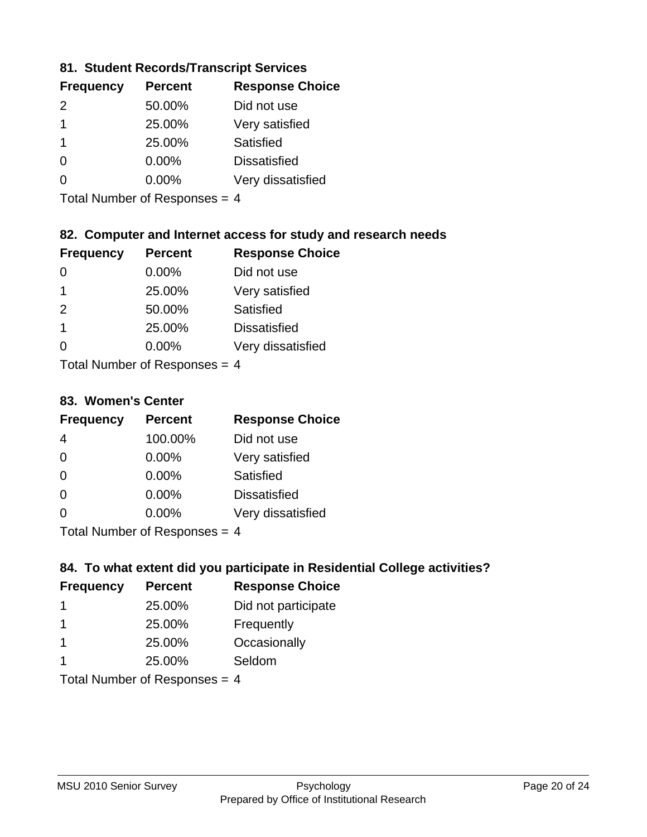## **81. Student Records/Transcript Services**

| <b>Frequency</b> | <b>Percent</b> | <b>Response Choice</b> |
|------------------|----------------|------------------------|
| $\mathcal{P}$    | 50.00%         | Did not use            |
| 1                | 25.00%         | Very satisfied         |
|                  | 25.00%         | Satisfied              |
| ∩                | 0.00%          | <b>Dissatisfied</b>    |
|                  | $0.00\%$       | Very dissatisfied      |

Total Number of Responses = 4

## **82. Computer and Internet access for study and research needs**

| <b>Frequency</b> | <b>Percent</b>            | <b>Response Choice</b> |
|------------------|---------------------------|------------------------|
|                  | 0.00%                     | Did not use            |
| 1                | 25.00%                    | Very satisfied         |
| 2                | 50.00%                    | <b>Satisfied</b>       |
| 1                | 25.00%                    | <b>Dissatisfied</b>    |
| 0                | 0.00%                     | Very dissatisfied      |
|                  | Tatal Number of Despenses |                        |

Total Number of Responses = 4

#### **83. Women's Center**

| <b>Frequency</b> | <b>Percent</b>            | <b>Response Choice</b> |
|------------------|---------------------------|------------------------|
| 4                | 100.00%                   | Did not use            |
| $\Omega$         | 0.00%                     | Very satisfied         |
| $\Omega$         | $0.00\%$                  | <b>Satisfied</b>       |
| $\Omega$         | 0.00%                     | <b>Dissatisfied</b>    |
| $\Omega$         | 0.00%                     | Very dissatisfied      |
|                  | Total Number of Despanses |                        |

Total Number of Responses = 4

### **84. To what extent did you participate in Residential College activities?**

| <b>Frequency</b> | <b>Percent</b>                  | <b>Response Choice</b> |
|------------------|---------------------------------|------------------------|
|                  | 25.00%                          | Did not participate    |
|                  | 25.00%                          | Frequently             |
|                  | 25.00%                          | Occasionally           |
|                  | 25.00%                          | Seldom                 |
|                  | Total Number of Responses = $4$ |                        |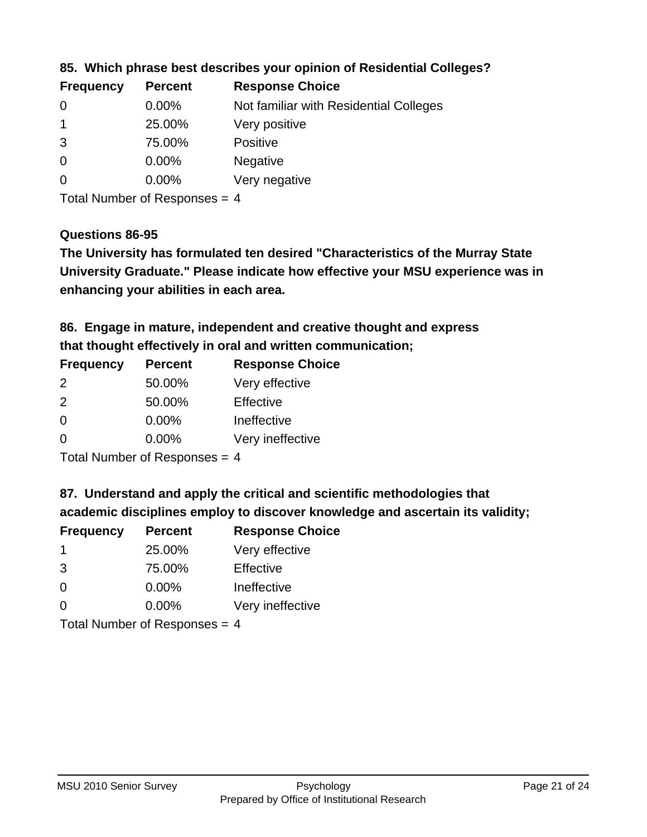| <b>Frequency</b> | <b>Percent</b> | <b>Response Choice</b>                 |
|------------------|----------------|----------------------------------------|
| 0                | $0.00\%$       | Not familiar with Residential Colleges |
|                  | 25.00%         | Very positive                          |
| 3                | 75.00%         | <b>Positive</b>                        |
| $\overline{0}$   | $0.00\%$       | <b>Negative</b>                        |
| $\overline{0}$   | $0.00\%$       | Very negative                          |
|                  |                |                                        |

**85. Which phrase best describes your opinion of Residential Colleges?**

Total Number of Responses = 4

## **Questions 86-95**

**University Graduate." Please indicate how effective your MSU experience was in The University has formulated ten desired "Characteristics of the Murray State enhancing your abilities in each area.**

**86. Engage in mature, independent and creative thought and express that thought effectively in oral and written communication;**

| <b>Frequency</b> | <b>Percent</b> | <b>Response Choice</b> |
|------------------|----------------|------------------------|
| $\mathcal{P}$    | 50.00%         | Very effective         |
| $\mathcal{P}$    | 50.00%         | Effective              |
| $\Omega$         | 0.00%          | Ineffective            |
| ∩                | $0.00\%$       | Very ineffective       |

Total Number of Responses = 4

**87. Understand and apply the critical and scientific methodologies that** 

**academic disciplines employ to discover knowledge and ascertain its validity;**

| <b>Frequency</b> | <b>Percent</b> | <b>Response Choice</b> |
|------------------|----------------|------------------------|
| -1               | 25.00%         | Very effective         |
| 3                | 75.00%         | Effective              |
| $\Omega$         | 0.00%          | Ineffective            |
| $\Omega$         | 0.00%          | Very ineffective       |
|                  |                |                        |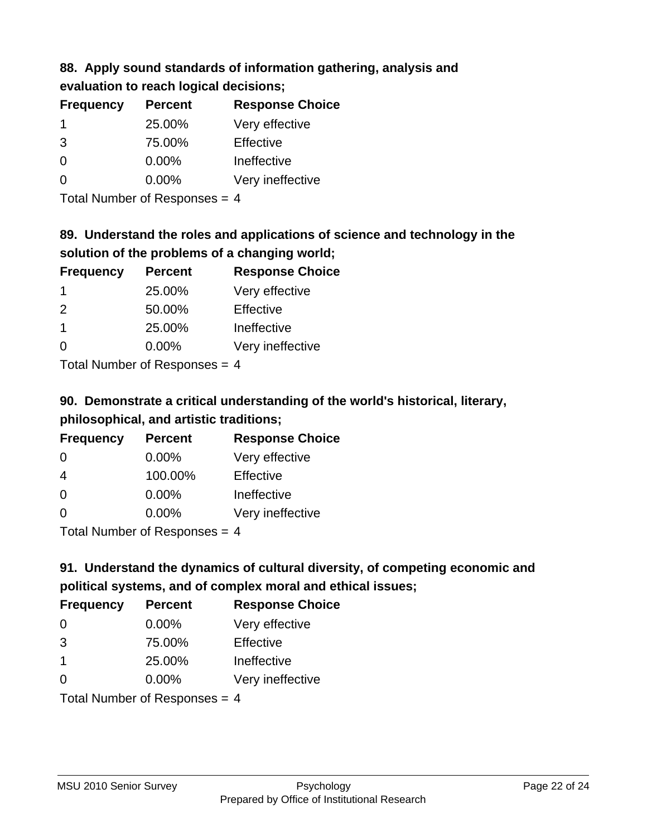#### **88. Apply sound standards of information gathering, analysis and evaluation to reach logical decisions;**

| <b>UNGINION ISLAMITION CONSIDER</b> |                |                        |
|-------------------------------------|----------------|------------------------|
| <b>Frequency</b>                    | <b>Percent</b> | <b>Response Choice</b> |
| -1                                  | 25.00%         | Very effective         |
| 3                                   | 75.00%         | Effective              |
| $\overline{0}$                      | 0.00%          | Ineffective            |
| $\overline{0}$                      | 0.00%          | Very ineffective       |

Total Number of Responses = 4

# **89. Understand the roles and applications of science and technology in the solution of the problems of a changing world;**

| <b>Frequency</b>                | <b>Percent</b> | <b>Response Choice</b> |
|---------------------------------|----------------|------------------------|
| -1                              | 25.00%         | Very effective         |
| $\mathcal{P}$                   | 50.00%         | Effective              |
| $\mathbf 1$                     | 25.00%         | Ineffective            |
| $\Omega$                        | 0.00%          | Very ineffective       |
| Tatal Manufacture Communication |                |                        |

Total Number of Responses = 4

# **90. Demonstrate a critical understanding of the world's historical, literary, philosophical, and artistic traditions;**

| <b>Frequency</b>           | <b>Percent</b> | <b>Response Choice</b> |
|----------------------------|----------------|------------------------|
| $\Omega$                   | $0.00\%$       | Very effective         |
| 4                          | 100.00%        | Effective              |
| $\Omega$                   | 0.00%          | Ineffective            |
| $\Omega$                   | 0.00%          | Very ineffective       |
| Total Number of Desperance |                |                        |

Total Number of Responses = 4

# **91. Understand the dynamics of cultural diversity, of competing economic and political systems, and of complex moral and ethical issues;**

| <b>Frequency</b>                | <b>Percent</b> | <b>Response Choice</b> |
|---------------------------------|----------------|------------------------|
| $\Omega$                        | 0.00%          | Very effective         |
| 3                               | 75.00%         | Effective              |
| $\overline{1}$                  | 25.00%         | Ineffective            |
| $\Omega$                        | $0.00\%$       | Very ineffective       |
| Total Number of Responses = $4$ |                |                        |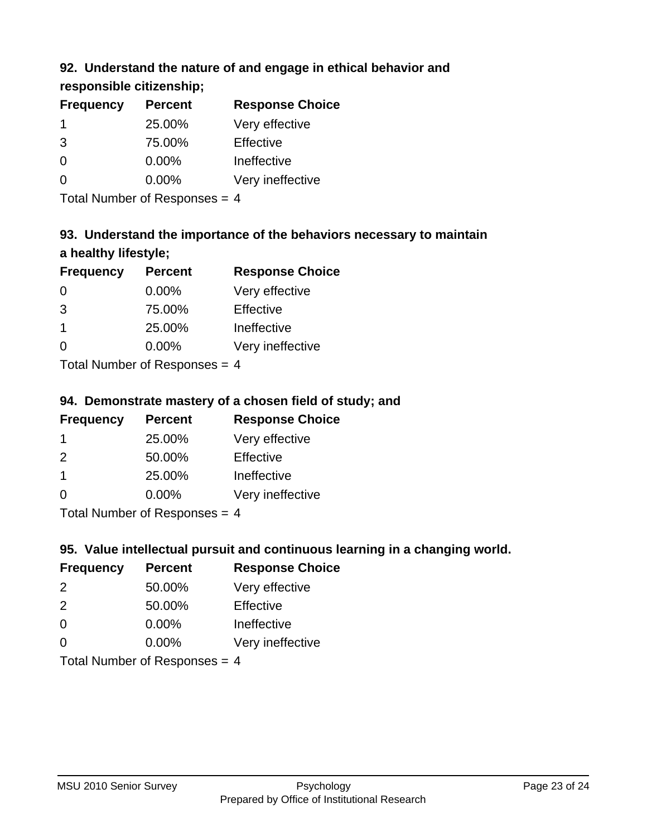## **92. Understand the nature of and engage in ethical behavior and**

## **responsible citizenship;**

| <b>Percent</b> | <b>Response Choice</b> |
|----------------|------------------------|
| 25.00%         | Very effective         |
| 75.00%         | Effective              |
| $0.00\%$       | Ineffective            |
| $0.00\%$       | Very ineffective       |
|                |                        |

Total Number of Responses = 4

# **93. Understand the importance of the behaviors necessary to maintain a healthy lifestyle;**

| <b>Frequency</b> | <b>Percent</b>                                                     | <b>Response Choice</b> |
|------------------|--------------------------------------------------------------------|------------------------|
| $\Omega$         | 0.00%                                                              | Very effective         |
| 3                | 75.00%                                                             | Effective              |
| $\mathbf 1$      | 25.00%                                                             | Ineffective            |
| $\Omega$         | 0.00%                                                              | Very ineffective       |
|                  | $T$ at all Message and $R$ $\sim$ and $\sim$ and $\sim$ and $\sim$ |                        |

Total Number of Responses = 4

## **94. Demonstrate mastery of a chosen field of study; and**

| <b>Frequency</b> | <b>Percent</b> | <b>Response Choice</b> |
|------------------|----------------|------------------------|
|                  | 25.00%         | Very effective         |
| $\mathcal{P}$    | 50.00%         | Effective              |
|                  | 25.00%         | Ineffective            |
| 0                | $0.00\%$       | Very ineffective       |
|                  |                |                        |

Total Number of Responses = 4

## **95. Value intellectual pursuit and continuous learning in a changing world.**

| <b>Frequency</b>           | <b>Percent</b> | <b>Response Choice</b> |
|----------------------------|----------------|------------------------|
| $\mathcal{P}$              | 50.00%         | Very effective         |
| $\mathcal{P}$              | 50.00%         | Effective              |
| $\Omega$                   | 0.00%          | Ineffective            |
| $\Omega$                   | 0.00%          | Very ineffective       |
| Tatal Manakan af Dagmanage |                |                        |